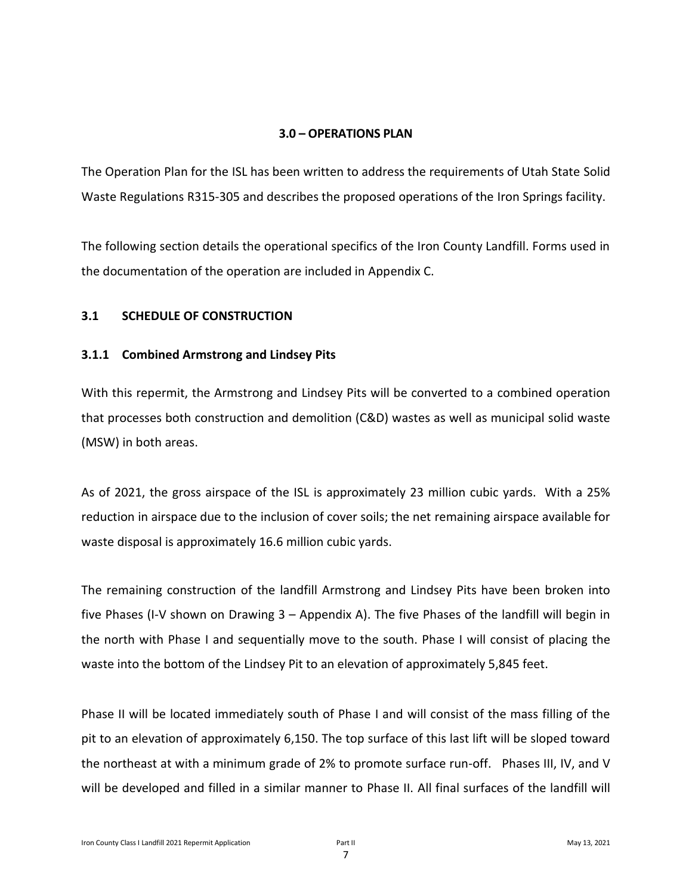#### **3.0 – OPERATIONS PLAN**

The Operation Plan for the ISL has been written to address the requirements of Utah State Solid Waste Regulations R315-305 and describes the proposed operations of the Iron Springs facility.

The following section details the operational specifics of the Iron County Landfill. Forms used in the documentation of the operation are included in Appendix C.

#### **3.1 SCHEDULE OF CONSTRUCTION**

#### **3.1.1 Combined Armstrong and Lindsey Pits**

With this repermit, the Armstrong and Lindsey Pits will be converted to a combined operation that processes both construction and demolition (C&D) wastes as well as municipal solid waste (MSW) in both areas.

As of 2021, the gross airspace of the ISL is approximately 23 million cubic yards. With a 25% reduction in airspace due to the inclusion of cover soils; the net remaining airspace available for waste disposal is approximately 16.6 million cubic yards.

The remaining construction of the landfill Armstrong and Lindsey Pits have been broken into five Phases (I-V shown on Drawing 3 – Appendix A). The five Phases of the landfill will begin in the north with Phase I and sequentially move to the south. Phase I will consist of placing the waste into the bottom of the Lindsey Pit to an elevation of approximately 5,845 feet.

Phase II will be located immediately south of Phase I and will consist of the mass filling of the pit to an elevation of approximately 6,150. The top surface of this last lift will be sloped toward the northeast at with a minimum grade of 2% to promote surface run-off. Phases III, IV, and V will be developed and filled in a similar manner to Phase II. All final surfaces of the landfill will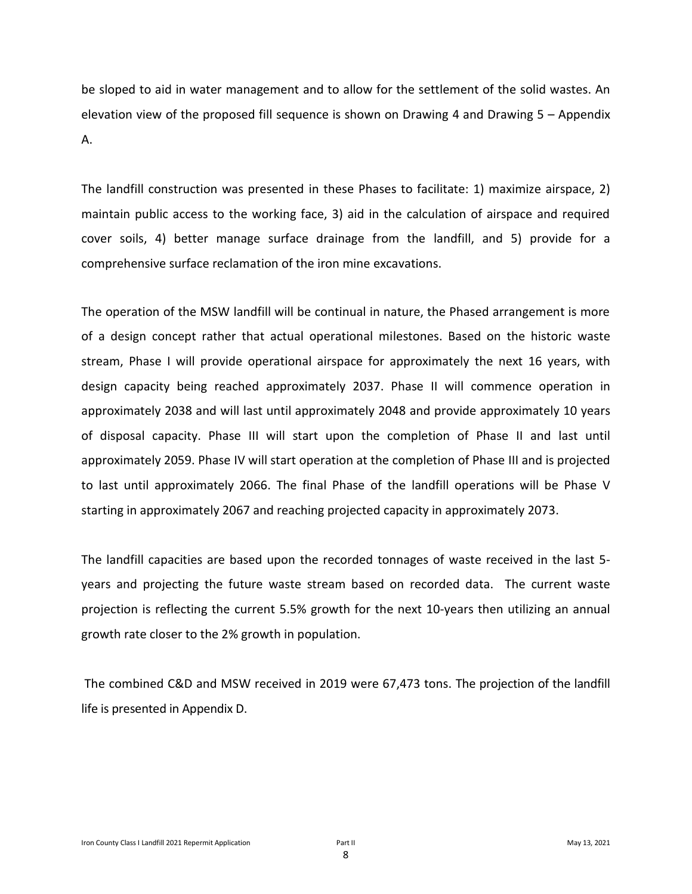be sloped to aid in water management and to allow for the settlement of the solid wastes. An elevation view of the proposed fill sequence is shown on Drawing 4 and Drawing 5 – Appendix A.

The landfill construction was presented in these Phases to facilitate: 1) maximize airspace, 2) maintain public access to the working face, 3) aid in the calculation of airspace and required cover soils, 4) better manage surface drainage from the landfill, and 5) provide for a comprehensive surface reclamation of the iron mine excavations.

The operation of the MSW landfill will be continual in nature, the Phased arrangement is more of a design concept rather that actual operational milestones. Based on the historic waste stream, Phase I will provide operational airspace for approximately the next 16 years, with design capacity being reached approximately 2037. Phase II will commence operation in approximately 2038 and will last until approximately 2048 and provide approximately 10 years of disposal capacity. Phase III will start upon the completion of Phase II and last until approximately 2059. Phase IV will start operation at the completion of Phase III and is projected to last until approximately 2066. The final Phase of the landfill operations will be Phase V starting in approximately 2067 and reaching projected capacity in approximately 2073.

The landfill capacities are based upon the recorded tonnages of waste received in the last 5 years and projecting the future waste stream based on recorded data. The current waste projection is reflecting the current 5.5% growth for the next 10-years then utilizing an annual growth rate closer to the 2% growth in population.

The combined C&D and MSW received in 2019 were 67,473 tons. The projection of the landfill life is presented in Appendix D.

8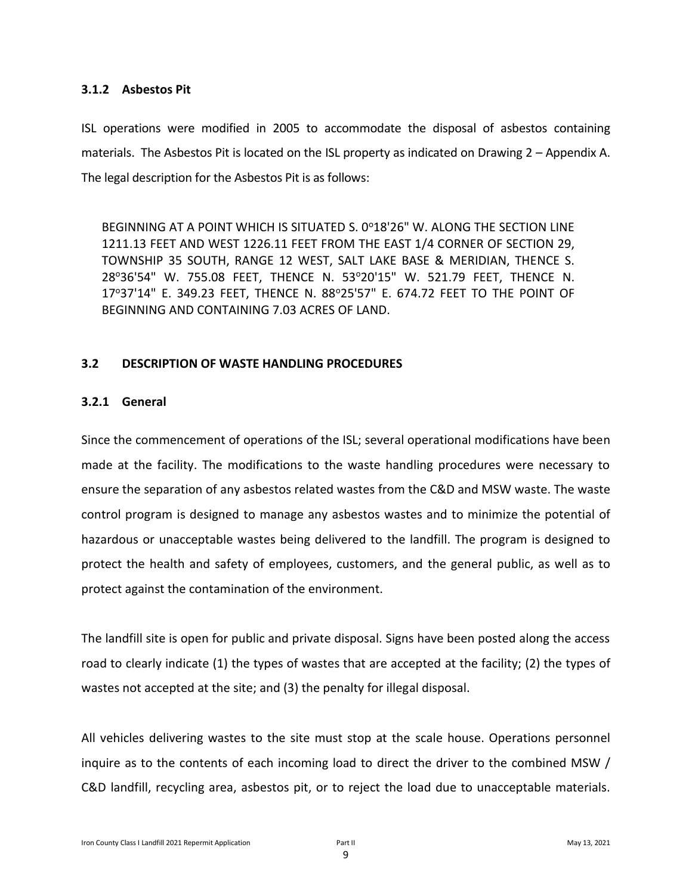#### **3.1.2 Asbestos Pit**

ISL operations were modified in 2005 to accommodate the disposal of asbestos containing materials. The Asbestos Pit is located on the ISL property as indicated on Drawing 2 – Appendix A. The legal description for the Asbestos Pit is as follows:

BEGINNING AT A POINT WHICH IS SITUATED S. 0°18'26" W. ALONG THE SECTION LINE 1211.13 FEET AND WEST 1226.11 FEET FROM THE EAST 1/4 CORNER OF SECTION 29, TOWNSHIP 35 SOUTH, RANGE 12 WEST, SALT LAKE BASE & MERIDIAN, THENCE S. 28<sup>o</sup>36'54" W. 755.08 FEET, THENCE N. 53<sup>o</sup>20'15" W. 521.79 FEET, THENCE N. 17°37'14" E. 349.23 FEET, THENCE N. 88°25'57" E. 674.72 FEET TO THE POINT OF BEGINNING AND CONTAINING 7.03 ACRES OF LAND.

#### **3.2 DESCRIPTION OF WASTE HANDLING PROCEDURES**

#### **3.2.1 General**

Since the commencement of operations of the ISL; several operational modifications have been made at the facility. The modifications to the waste handling procedures were necessary to ensure the separation of any asbestos related wastes from the C&D and MSW waste. The waste control program is designed to manage any asbestos wastes and to minimize the potential of hazardous or unacceptable wastes being delivered to the landfill. The program is designed to protect the health and safety of employees, customers, and the general public, as well as to protect against the contamination of the environment.

The landfill site is open for public and private disposal. Signs have been posted along the access road to clearly indicate (1) the types of wastes that are accepted at the facility; (2) the types of wastes not accepted at the site; and (3) the penalty for illegal disposal.

All vehicles delivering wastes to the site must stop at the scale house. Operations personnel inquire as to the contents of each incoming load to direct the driver to the combined MSW / C&D landfill, recycling area, asbestos pit, or to reject the load due to unacceptable materials.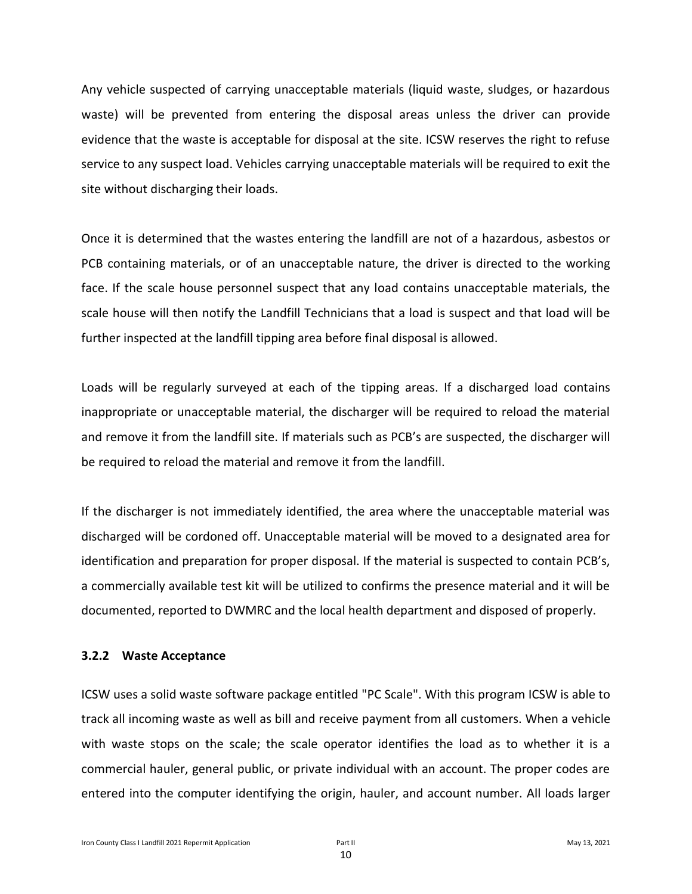Any vehicle suspected of carrying unacceptable materials (liquid waste, sludges, or hazardous waste) will be prevented from entering the disposal areas unless the driver can provide evidence that the waste is acceptable for disposal at the site. ICSW reserves the right to refuse service to any suspect load. Vehicles carrying unacceptable materials will be required to exit the site without discharging their loads.

Once it is determined that the wastes entering the landfill are not of a hazardous, asbestos or PCB containing materials, or of an unacceptable nature, the driver is directed to the working face. If the scale house personnel suspect that any load contains unacceptable materials, the scale house will then notify the Landfill Technicians that a load is suspect and that load will be further inspected at the landfill tipping area before final disposal is allowed.

Loads will be regularly surveyed at each of the tipping areas. If a discharged load contains inappropriate or unacceptable material, the discharger will be required to reload the material and remove it from the landfill site. If materials such as PCB's are suspected, the discharger will be required to reload the material and remove it from the landfill.

If the discharger is not immediately identified, the area where the unacceptable material was discharged will be cordoned off. Unacceptable material will be moved to a designated area for identification and preparation for proper disposal. If the material is suspected to contain PCB's, a commercially available test kit will be utilized to confirms the presence material and it will be documented, reported to DWMRC and the local health department and disposed of properly.

#### **3.2.2 Waste Acceptance**

ICSW uses a solid waste software package entitled "PC Scale". With this program ICSW is able to track all incoming waste as well as bill and receive payment from all customers. When a vehicle with waste stops on the scale; the scale operator identifies the load as to whether it is a commercial hauler, general public, or private individual with an account. The proper codes are entered into the computer identifying the origin, hauler, and account number. All loads larger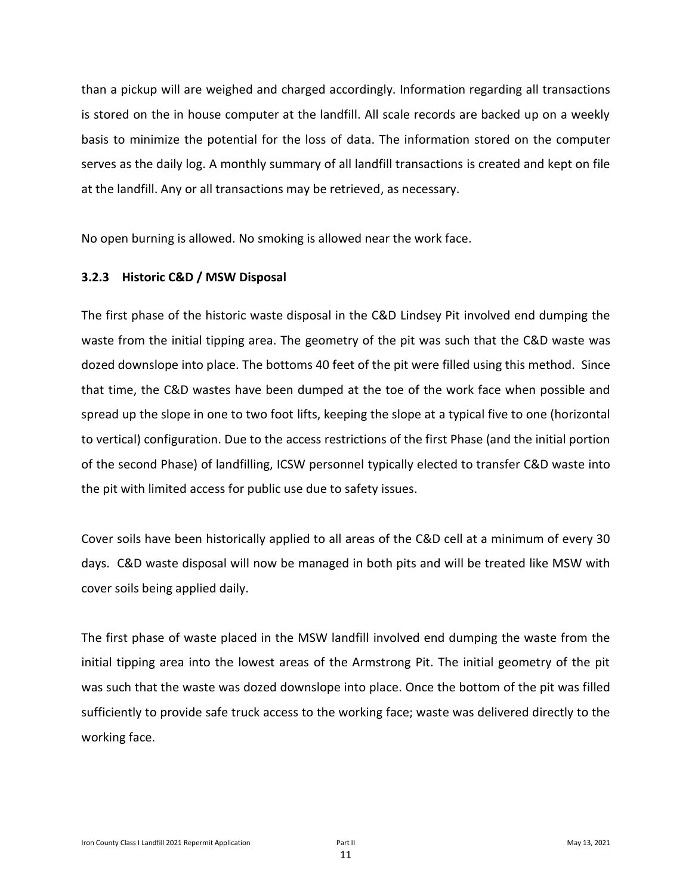than a pickup will are weighed and charged accordingly. Information regarding all transactions is stored on the in house computer at the landfill. All scale records are backed up on a weekly basis to minimize the potential for the loss of data. The information stored on the computer serves as the daily log. A monthly summary of all landfill transactions is created and kept on file at the landfill. Any or all transactions may be retrieved, as necessary.

No open burning is allowed. No smoking is allowed near the work face.

#### **3.2.3 Historic C&D / MSW Disposal**

The first phase of the historic waste disposal in the C&D Lindsey Pit involved end dumping the waste from the initial tipping area. The geometry of the pit was such that the C&D waste was dozed downslope into place. The bottoms 40 feet of the pit were filled using this method. Since that time, the C&D wastes have been dumped at the toe of the work face when possible and spread up the slope in one to two foot lifts, keeping the slope at a typical five to one (horizontal to vertical) configuration. Due to the access restrictions of the first Phase (and the initial portion of the second Phase) of landfilling, ICSW personnel typically elected to transfer C&D waste into the pit with limited access for public use due to safety issues.

Cover soils have been historically applied to all areas of the C&D cell at a minimum of every 30 days. C&D waste disposal will now be managed in both pits and will be treated like MSW with cover soils being applied daily.

The first phase of waste placed in the MSW landfill involved end dumping the waste from the initial tipping area into the lowest areas of the Armstrong Pit. The initial geometry of the pit was such that the waste was dozed downslope into place. Once the bottom of the pit was filled sufficiently to provide safe truck access to the working face; waste was delivered directly to the working face.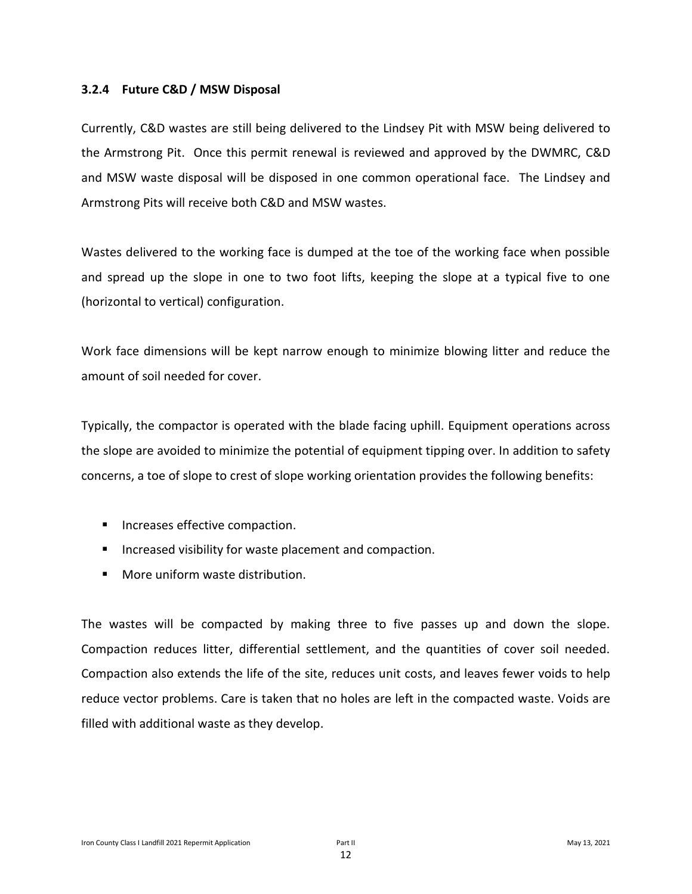#### **3.2.4 Future C&D / MSW Disposal**

Currently, C&D wastes are still being delivered to the Lindsey Pit with MSW being delivered to the Armstrong Pit. Once this permit renewal is reviewed and approved by the DWMRC, C&D and MSW waste disposal will be disposed in one common operational face. The Lindsey and Armstrong Pits will receive both C&D and MSW wastes.

Wastes delivered to the working face is dumped at the toe of the working face when possible and spread up the slope in one to two foot lifts, keeping the slope at a typical five to one (horizontal to vertical) configuration.

Work face dimensions will be kept narrow enough to minimize blowing litter and reduce the amount of soil needed for cover.

Typically, the compactor is operated with the blade facing uphill. Equipment operations across the slope are avoided to minimize the potential of equipment tipping over. In addition to safety concerns, a toe of slope to crest of slope working orientation provides the following benefits:

- Increases effective compaction.
- Increased visibility for waste placement and compaction.
- More uniform waste distribution.

The wastes will be compacted by making three to five passes up and down the slope. Compaction reduces litter, differential settlement, and the quantities of cover soil needed. Compaction also extends the life of the site, reduces unit costs, and leaves fewer voids to help reduce vector problems. Care is taken that no holes are left in the compacted waste. Voids are filled with additional waste as they develop.

12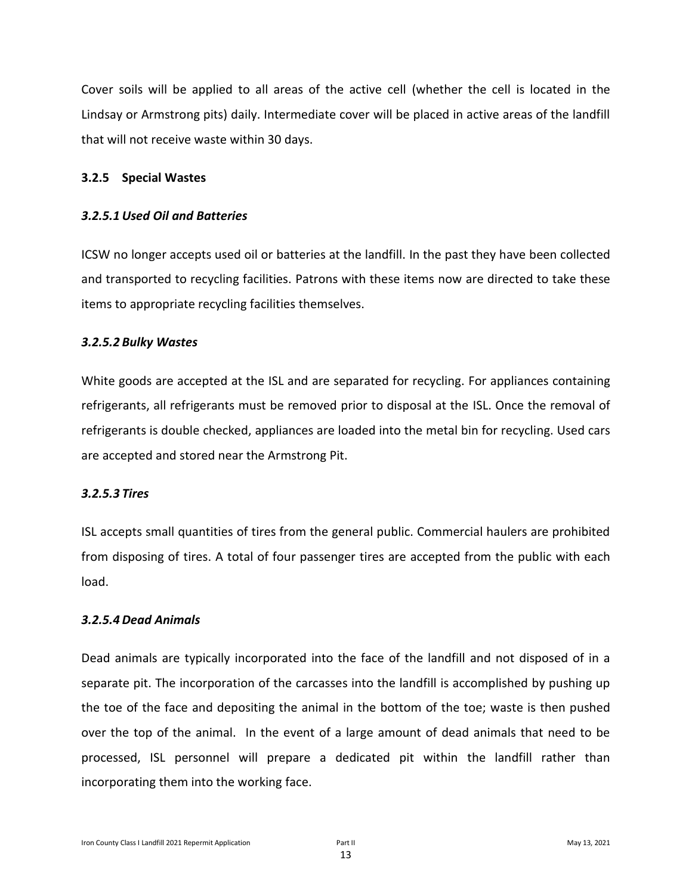Cover soils will be applied to all areas of the active cell (whether the cell is located in the Lindsay or Armstrong pits) daily. Intermediate cover will be placed in active areas of the landfill that will not receive waste within 30 days.

#### **3.2.5 Special Wastes**

#### *3.2.5.1 Used Oil and Batteries*

ICSW no longer accepts used oil or batteries at the landfill. In the past they have been collected and transported to recycling facilities. Patrons with these items now are directed to take these items to appropriate recycling facilities themselves.

#### *3.2.5.2 Bulky Wastes*

White goods are accepted at the ISL and are separated for recycling. For appliances containing refrigerants, all refrigerants must be removed prior to disposal at the ISL. Once the removal of refrigerants is double checked, appliances are loaded into the metal bin for recycling. Used cars are accepted and stored near the Armstrong Pit.

#### *3.2.5.3 Tires*

ISL accepts small quantities of tires from the general public. Commercial haulers are prohibited from disposing of tires. A total of four passenger tires are accepted from the public with each load.

#### *3.2.5.4 Dead Animals*

Dead animals are typically incorporated into the face of the landfill and not disposed of in a separate pit. The incorporation of the carcasses into the landfill is accomplished by pushing up the toe of the face and depositing the animal in the bottom of the toe; waste is then pushed over the top of the animal. In the event of a large amount of dead animals that need to be processed, ISL personnel will prepare a dedicated pit within the landfill rather than incorporating them into the working face.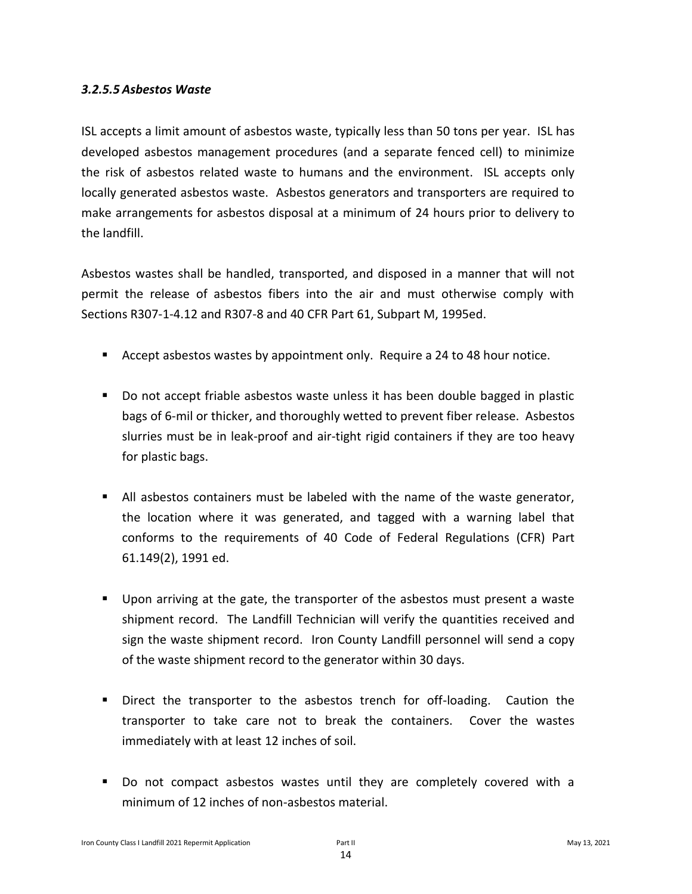#### *3.2.5.5 Asbestos Waste*

ISL accepts a limit amount of asbestos waste, typically less than 50 tons per year. ISL has developed asbestos management procedures (and a separate fenced cell) to minimize the risk of asbestos related waste to humans and the environment. ISL accepts only locally generated asbestos waste. Asbestos generators and transporters are required to make arrangements for asbestos disposal at a minimum of 24 hours prior to delivery to the landfill.

Asbestos wastes shall be handled, transported, and disposed in a manner that will not permit the release of asbestos fibers into the air and must otherwise comply with Sections R307-1-4.12 and R307-8 and 40 CFR Part 61, Subpart M, 1995ed.

- Accept asbestos wastes by appointment only. Require a 24 to 48 hour notice.
- Do not accept friable asbestos waste unless it has been double bagged in plastic bags of 6-mil or thicker, and thoroughly wetted to prevent fiber release. Asbestos slurries must be in leak-proof and air-tight rigid containers if they are too heavy for plastic bags.
- All asbestos containers must be labeled with the name of the waste generator, the location where it was generated, and tagged with a warning label that conforms to the requirements of 40 Code of Federal Regulations (CFR) Part 61.149(2), 1991 ed.
- Upon arriving at the gate, the transporter of the asbestos must present a waste shipment record. The Landfill Technician will verify the quantities received and sign the waste shipment record. Iron County Landfill personnel will send a copy of the waste shipment record to the generator within 30 days.
- Direct the transporter to the asbestos trench for off-loading. Caution the transporter to take care not to break the containers. Cover the wastes immediately with at least 12 inches of soil.
- Do not compact asbestos wastes until they are completely covered with a minimum of 12 inches of non-asbestos material.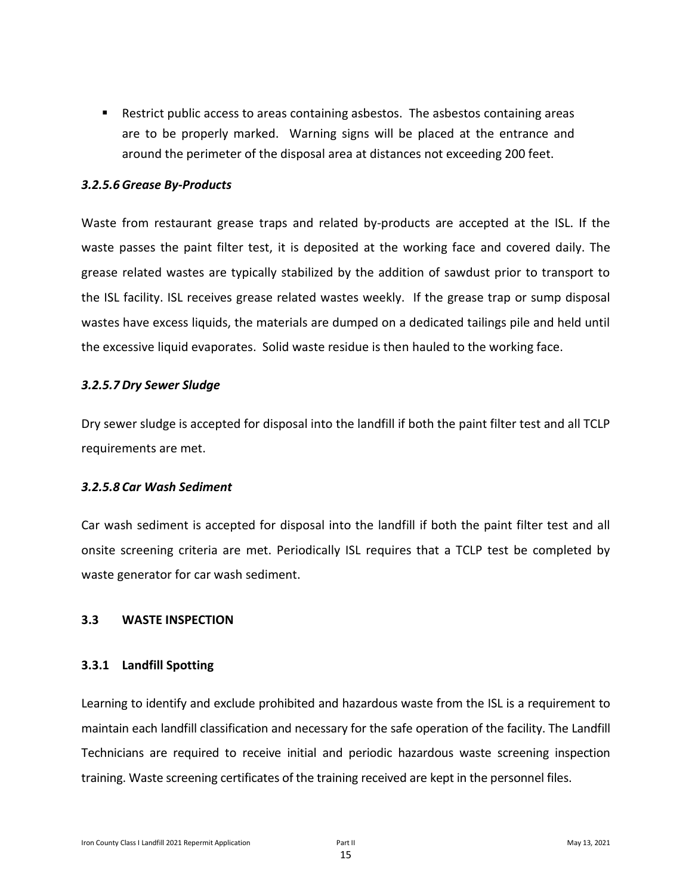■ Restrict public access to areas containing asbestos. The asbestos containing areas are to be properly marked. Warning signs will be placed at the entrance and around the perimeter of the disposal area at distances not exceeding 200 feet.

#### *3.2.5.6 Grease By-Products*

Waste from restaurant grease traps and related by-products are accepted at the ISL. If the waste passes the paint filter test, it is deposited at the working face and covered daily. The grease related wastes are typically stabilized by the addition of sawdust prior to transport to the ISL facility. ISL receives grease related wastes weekly. If the grease trap or sump disposal wastes have excess liquids, the materials are dumped on a dedicated tailings pile and held until the excessive liquid evaporates. Solid waste residue is then hauled to the working face.

#### *3.2.5.7 Dry Sewer Sludge*

Dry sewer sludge is accepted for disposal into the landfill if both the paint filter test and all TCLP requirements are met.

#### *3.2.5.8 Car Wash Sediment*

Car wash sediment is accepted for disposal into the landfill if both the paint filter test and all onsite screening criteria are met. Periodically ISL requires that a TCLP test be completed by waste generator for car wash sediment.

#### **3.3 WASTE INSPECTION**

#### **3.3.1 Landfill Spotting**

Learning to identify and exclude prohibited and hazardous waste from the ISL is a requirement to maintain each landfill classification and necessary for the safe operation of the facility. The Landfill Technicians are required to receive initial and periodic hazardous waste screening inspection training. Waste screening certificates of the training received are kept in the personnel files.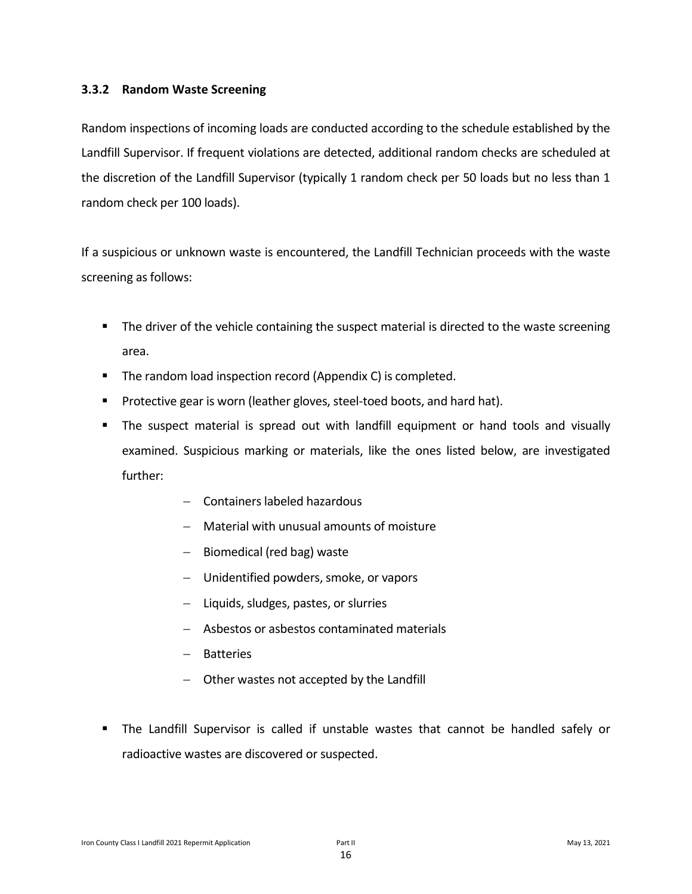#### **3.3.2 Random Waste Screening**

Random inspections of incoming loads are conducted according to the schedule established by the Landfill Supervisor. If frequent violations are detected, additional random checks are scheduled at the discretion of the Landfill Supervisor (typically 1 random check per 50 loads but no less than 1 random check per 100 loads).

If a suspicious or unknown waste is encountered, the Landfill Technician proceeds with the waste screening as follows:

- The driver of the vehicle containing the suspect material is directed to the waste screening area.
- The random load inspection record (Appendix C) is completed.
- Protective gear is worn (leather gloves, steel-toed boots, and hard hat).
- The suspect material is spread out with landfill equipment or hand tools and visually examined. Suspicious marking or materials, like the ones listed below, are investigated further:
	- − Containers labeled hazardous
	- − Material with unusual amounts of moisture
	- − Biomedical (red bag) waste
	- − Unidentified powders, smoke, or vapors
	- − Liquids, sludges, pastes, or slurries
	- − Asbestos or asbestos contaminated materials
	- − Batteries
	- − Other wastes not accepted by the Landfill
- The Landfill Supervisor is called if unstable wastes that cannot be handled safely or radioactive wastes are discovered or suspected.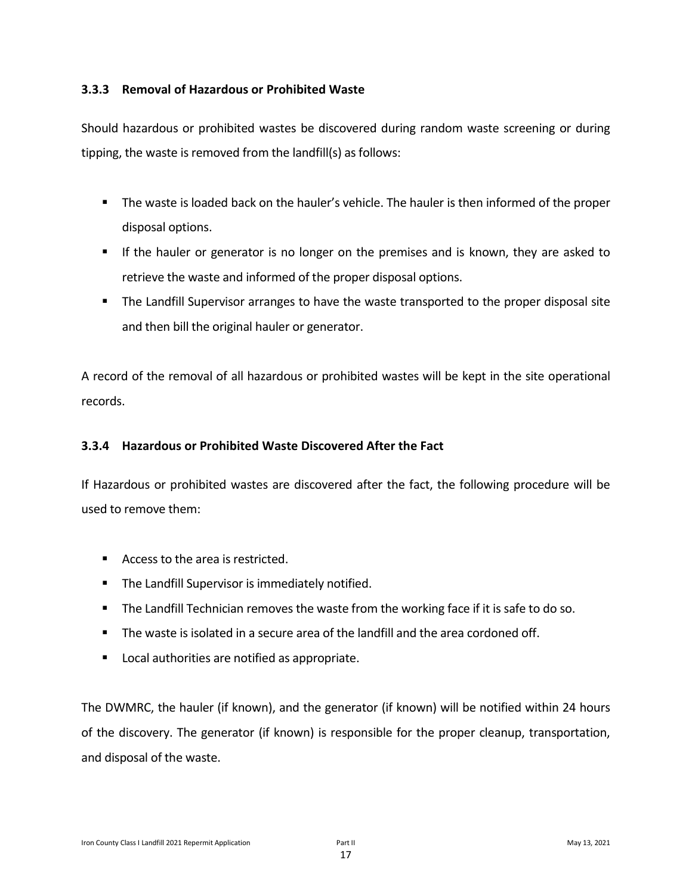#### **3.3.3 Removal of Hazardous or Prohibited Waste**

Should hazardous or prohibited wastes be discovered during random waste screening or during tipping, the waste is removed from the landfill(s) as follows:

- The waste is loaded back on the hauler's vehicle. The hauler is then informed of the proper disposal options.
- If the hauler or generator is no longer on the premises and is known, they are asked to retrieve the waste and informed of the proper disposal options.
- The Landfill Supervisor arranges to have the waste transported to the proper disposal site and then bill the original hauler or generator.

A record of the removal of all hazardous or prohibited wastes will be kept in the site operational records.

#### **3.3.4 Hazardous or Prohibited Waste Discovered After the Fact**

If Hazardous or prohibited wastes are discovered after the fact, the following procedure will be used to remove them:

- Access to the area is restricted.
- **E** The Landfill Supervisor is immediately notified.
- The Landfill Technician removes the waste from the working face if it is safe to do so.
- **The waste is isolated in a secure area of the landfill and the area cordoned off.**
- Local authorities are notified as appropriate.

The DWMRC, the hauler (if known), and the generator (if known) will be notified within 24 hours of the discovery. The generator (if known) is responsible for the proper cleanup, transportation, and disposal of the waste.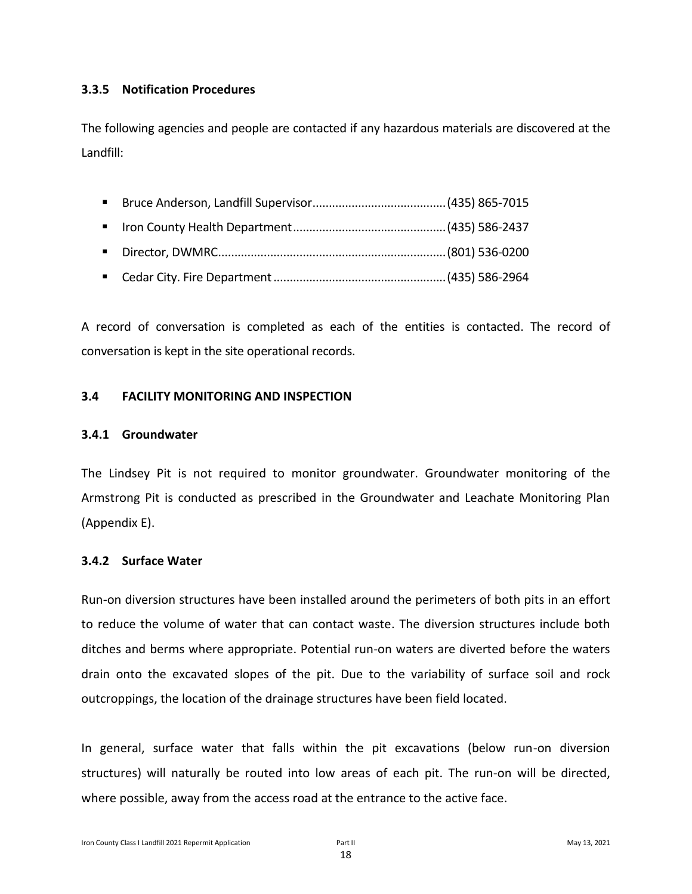#### **3.3.5 Notification Procedures**

The following agencies and people are contacted if any hazardous materials are discovered at the Landfill:

- Bruce Anderson, Landfill Supervisor.........................................(435) 865-7015
- Iron County Health Department...............................................(435) 586-2437
- Director, DWMRC......................................................................(801) 536-0200
- Cedar City. Fire Department.....................................................(435) 586-2964

A record of conversation is completed as each of the entities is contacted. The record of conversation is kept in the site operational records.

#### **3.4 FACILITY MONITORING AND INSPECTION**

#### **3.4.1 Groundwater**

The Lindsey Pit is not required to monitor groundwater. Groundwater monitoring of the Armstrong Pit is conducted as prescribed in the Groundwater and Leachate Monitoring Plan (Appendix E).

#### **3.4.2 Surface Water**

Run-on diversion structures have been installed around the perimeters of both pits in an effort to reduce the volume of water that can contact waste. The diversion structures include both ditches and berms where appropriate. Potential run-on waters are diverted before the waters drain onto the excavated slopes of the pit. Due to the variability of surface soil and rock outcroppings, the location of the drainage structures have been field located.

In general, surface water that falls within the pit excavations (below run-on diversion structures) will naturally be routed into low areas of each pit. The run-on will be directed, where possible, away from the access road at the entrance to the active face.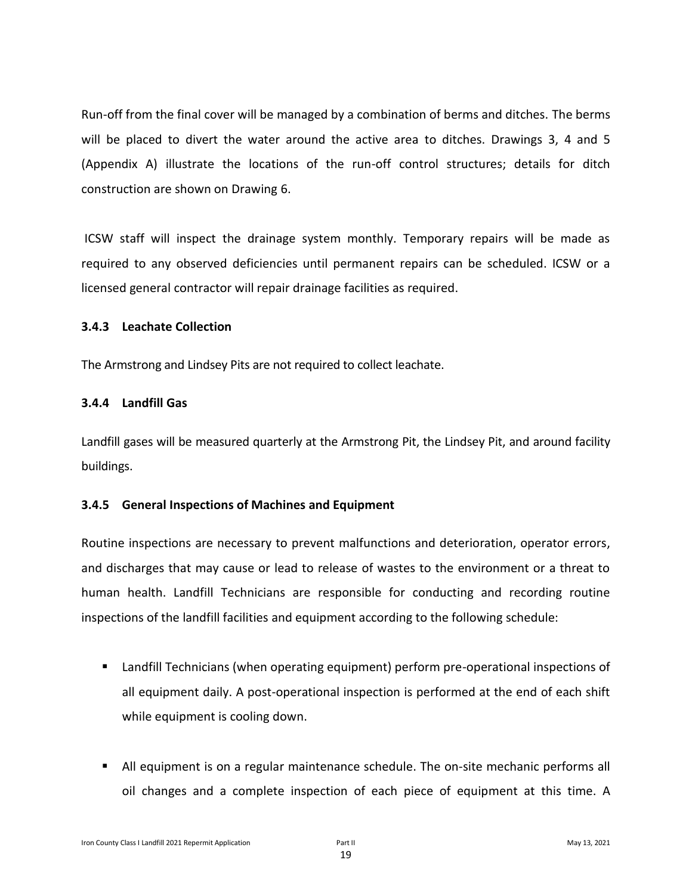Run-off from the final cover will be managed by a combination of berms and ditches. The berms will be placed to divert the water around the active area to ditches. Drawings 3, 4 and 5 (Appendix A) illustrate the locations of the run-off control structures; details for ditch construction are shown on Drawing 6.

ICSW staff will inspect the drainage system monthly. Temporary repairs will be made as required to any observed deficiencies until permanent repairs can be scheduled. ICSW or a licensed general contractor will repair drainage facilities as required.

#### **3.4.3 Leachate Collection**

The Armstrong and Lindsey Pits are not required to collect leachate.

#### **3.4.4 Landfill Gas**

Landfill gases will be measured quarterly at the Armstrong Pit, the Lindsey Pit, and around facility buildings.

#### **3.4.5 General Inspections of Machines and Equipment**

Routine inspections are necessary to prevent malfunctions and deterioration, operator errors, and discharges that may cause or lead to release of wastes to the environment or a threat to human health. Landfill Technicians are responsible for conducting and recording routine inspections of the landfill facilities and equipment according to the following schedule:

- Landfill Technicians (when operating equipment) perform pre-operational inspections of all equipment daily. A post-operational inspection is performed at the end of each shift while equipment is cooling down.
- All equipment is on a regular maintenance schedule. The on-site mechanic performs all oil changes and a complete inspection of each piece of equipment at this time. A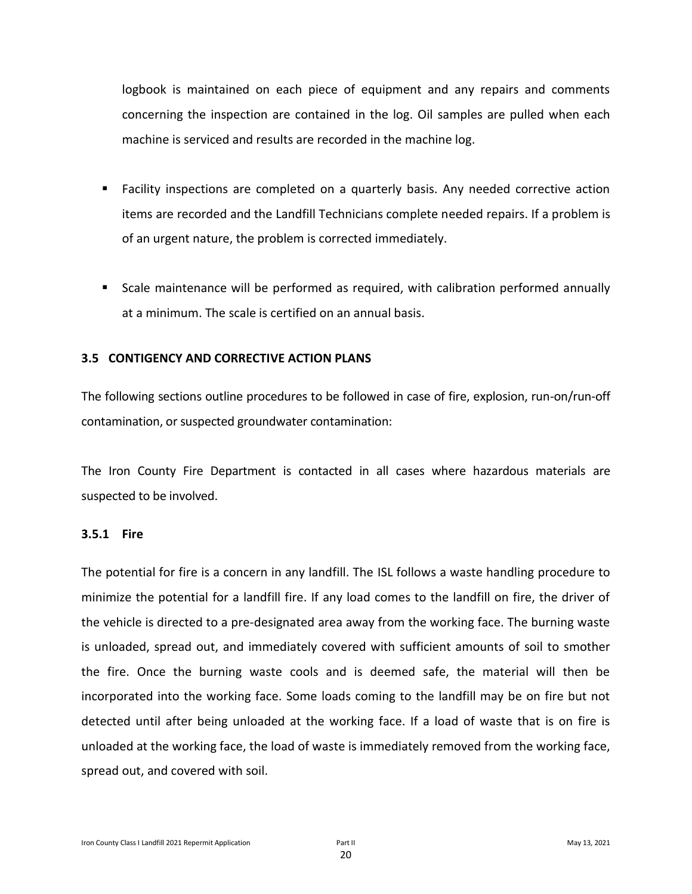logbook is maintained on each piece of equipment and any repairs and comments concerning the inspection are contained in the log. Oil samples are pulled when each machine is serviced and results are recorded in the machine log.

- Facility inspections are completed on a quarterly basis. Any needed corrective action items are recorded and the Landfill Technicians complete needed repairs. If a problem is of an urgent nature, the problem is corrected immediately.
- Scale maintenance will be performed as required, with calibration performed annually at a minimum. The scale is certified on an annual basis.

#### **3.5 CONTIGENCY AND CORRECTIVE ACTION PLANS**

The following sections outline procedures to be followed in case of fire, explosion, run-on/run-off contamination, or suspected groundwater contamination:

The Iron County Fire Department is contacted in all cases where hazardous materials are suspected to be involved.

#### **3.5.1 Fire**

The potential for fire is a concern in any landfill. The ISL follows a waste handling procedure to minimize the potential for a landfill fire. If any load comes to the landfill on fire, the driver of the vehicle is directed to a pre-designated area away from the working face. The burning waste is unloaded, spread out, and immediately covered with sufficient amounts of soil to smother the fire. Once the burning waste cools and is deemed safe, the material will then be incorporated into the working face. Some loads coming to the landfill may be on fire but not detected until after being unloaded at the working face. If a load of waste that is on fire is unloaded at the working face, the load of waste is immediately removed from the working face, spread out, and covered with soil.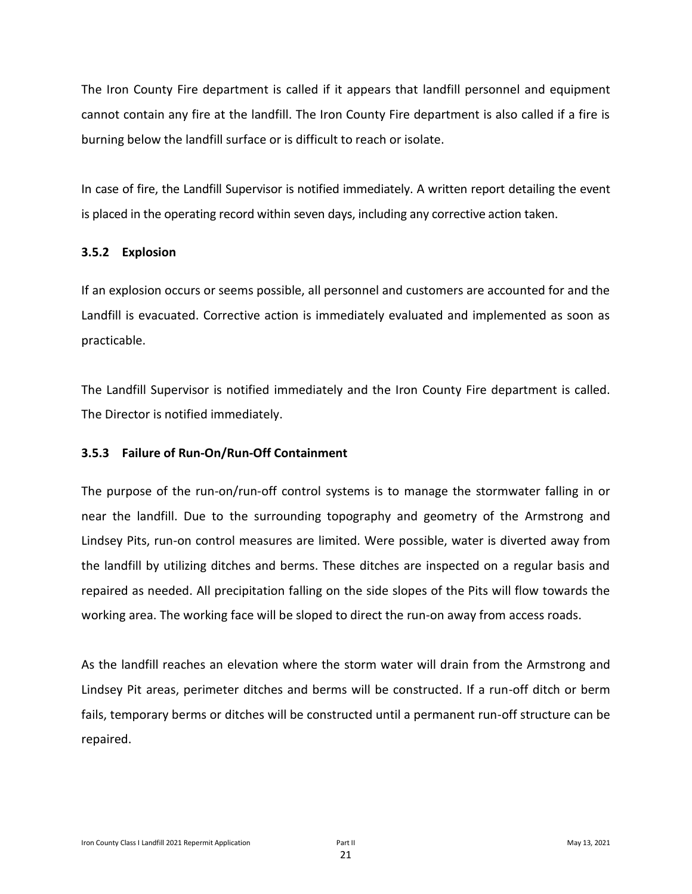The Iron County Fire department is called if it appears that landfill personnel and equipment cannot contain any fire at the landfill. The Iron County Fire department is also called if a fire is burning below the landfill surface or is difficult to reach or isolate.

In case of fire, the Landfill Supervisor is notified immediately. A written report detailing the event is placed in the operating record within seven days, including any corrective action taken.

#### **3.5.2 Explosion**

If an explosion occurs or seems possible, all personnel and customers are accounted for and the Landfill is evacuated. Corrective action is immediately evaluated and implemented as soon as practicable.

The Landfill Supervisor is notified immediately and the Iron County Fire department is called. The Director is notified immediately.

#### **3.5.3 Failure of Run-On/Run-Off Containment**

The purpose of the run-on/run-off control systems is to manage the stormwater falling in or near the landfill. Due to the surrounding topography and geometry of the Armstrong and Lindsey Pits, run-on control measures are limited. Were possible, water is diverted away from the landfill by utilizing ditches and berms. These ditches are inspected on a regular basis and repaired as needed. All precipitation falling on the side slopes of the Pits will flow towards the working area. The working face will be sloped to direct the run-on away from access roads.

As the landfill reaches an elevation where the storm water will drain from the Armstrong and Lindsey Pit areas, perimeter ditches and berms will be constructed. If a run-off ditch or berm fails, temporary berms or ditches will be constructed until a permanent run-off structure can be repaired.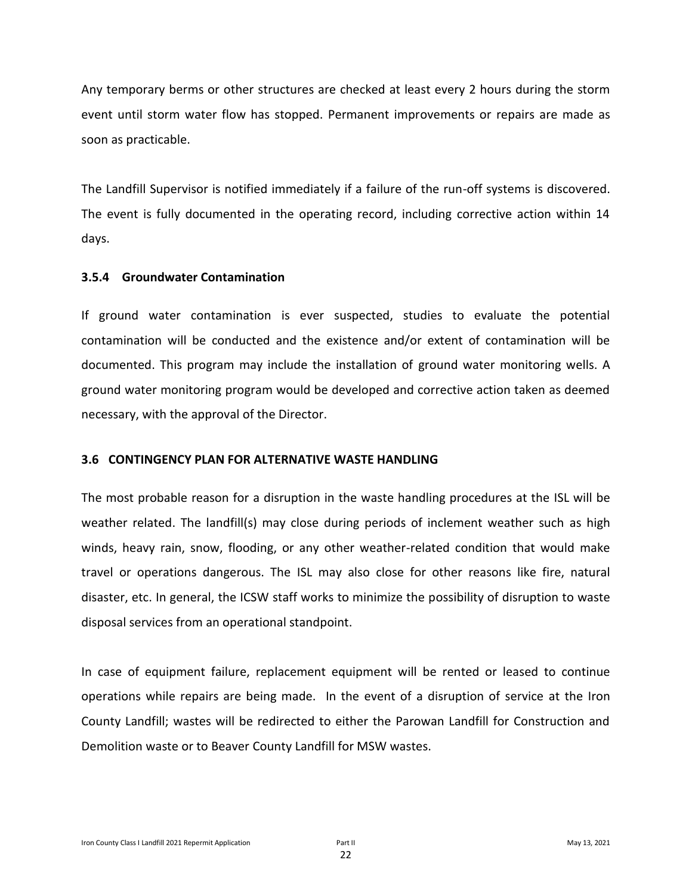Any temporary berms or other structures are checked at least every 2 hours during the storm event until storm water flow has stopped. Permanent improvements or repairs are made as soon as practicable.

The Landfill Supervisor is notified immediately if a failure of the run-off systems is discovered. The event is fully documented in the operating record, including corrective action within 14 days.

#### **3.5.4 Groundwater Contamination**

If ground water contamination is ever suspected, studies to evaluate the potential contamination will be conducted and the existence and/or extent of contamination will be documented. This program may include the installation of ground water monitoring wells. A ground water monitoring program would be developed and corrective action taken as deemed necessary, with the approval of the Director.

#### **3.6 CONTINGENCY PLAN FOR ALTERNATIVE WASTE HANDLING**

The most probable reason for a disruption in the waste handling procedures at the ISL will be weather related. The landfill(s) may close during periods of inclement weather such as high winds, heavy rain, snow, flooding, or any other weather-related condition that would make travel or operations dangerous. The ISL may also close for other reasons like fire, natural disaster, etc. In general, the ICSW staff works to minimize the possibility of disruption to waste disposal services from an operational standpoint.

In case of equipment failure, replacement equipment will be rented or leased to continue operations while repairs are being made. In the event of a disruption of service at the Iron County Landfill; wastes will be redirected to either the Parowan Landfill for Construction and Demolition waste or to Beaver County Landfill for MSW wastes.

22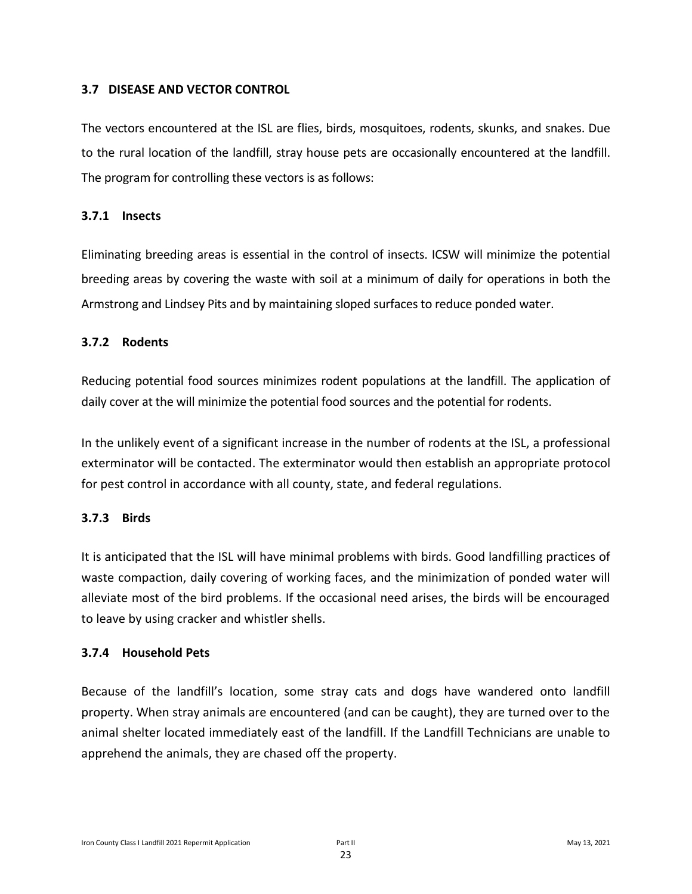#### **3.7 DISEASE AND VECTOR CONTROL**

The vectors encountered at the ISL are flies, birds, mosquitoes, rodents, skunks, and snakes. Due to the rural location of the landfill, stray house pets are occasionally encountered at the landfill. The program for controlling these vectors is as follows:

#### **3.7.1 Insects**

Eliminating breeding areas is essential in the control of insects. ICSW will minimize the potential breeding areas by covering the waste with soil at a minimum of daily for operations in both the Armstrong and Lindsey Pits and by maintaining sloped surfaces to reduce ponded water.

#### **3.7.2 Rodents**

Reducing potential food sources minimizes rodent populations at the landfill. The application of daily cover at the will minimize the potential food sources and the potential for rodents.

In the unlikely event of a significant increase in the number of rodents at the ISL, a professional exterminator will be contacted. The exterminator would then establish an appropriate protocol for pest control in accordance with all county, state, and federal regulations.

#### **3.7.3 Birds**

It is anticipated that the ISL will have minimal problems with birds. Good landfilling practices of waste compaction, daily covering of working faces, and the minimization of ponded water will alleviate most of the bird problems. If the occasional need arises, the birds will be encouraged to leave by using cracker and whistler shells.

#### **3.7.4 Household Pets**

Because of the landfill's location, some stray cats and dogs have wandered onto landfill property. When stray animals are encountered (and can be caught), they are turned over to the animal shelter located immediately east of the landfill. If the Landfill Technicians are unable to apprehend the animals, they are chased off the property.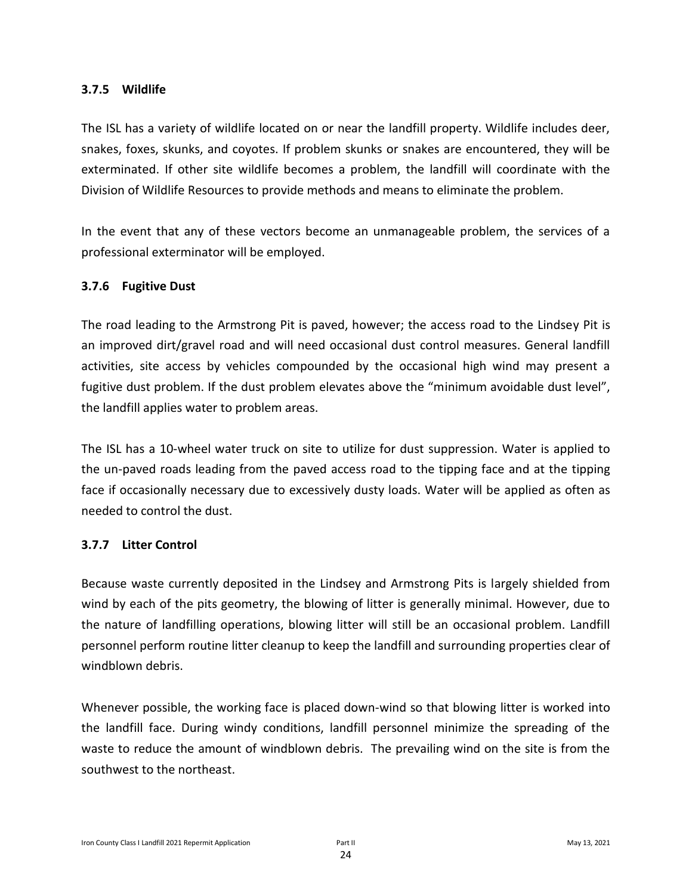#### **3.7.5 Wildlife**

The ISL has a variety of wildlife located on or near the landfill property. Wildlife includes deer, snakes, foxes, skunks, and coyotes. If problem skunks or snakes are encountered, they will be exterminated. If other site wildlife becomes a problem, the landfill will coordinate with the Division of Wildlife Resources to provide methods and means to eliminate the problem.

In the event that any of these vectors become an unmanageable problem, the services of a professional exterminator will be employed.

#### **3.7.6 Fugitive Dust**

The road leading to the Armstrong Pit is paved, however; the access road to the Lindsey Pit is an improved dirt/gravel road and will need occasional dust control measures. General landfill activities, site access by vehicles compounded by the occasional high wind may present a fugitive dust problem. If the dust problem elevates above the "minimum avoidable dust level", the landfill applies water to problem areas.

The ISL has a 10-wheel water truck on site to utilize for dust suppression. Water is applied to the un-paved roads leading from the paved access road to the tipping face and at the tipping face if occasionally necessary due to excessively dusty loads. Water will be applied as often as needed to control the dust.

#### **3.7.7 Litter Control**

Because waste currently deposited in the Lindsey and Armstrong Pits is largely shielded from wind by each of the pits geometry, the blowing of litter is generally minimal. However, due to the nature of landfilling operations, blowing litter will still be an occasional problem. Landfill personnel perform routine litter cleanup to keep the landfill and surrounding properties clear of windblown debris.

Whenever possible, the working face is placed down-wind so that blowing litter is worked into the landfill face. During windy conditions, landfill personnel minimize the spreading of the waste to reduce the amount of windblown debris. The prevailing wind on the site is from the southwest to the northeast.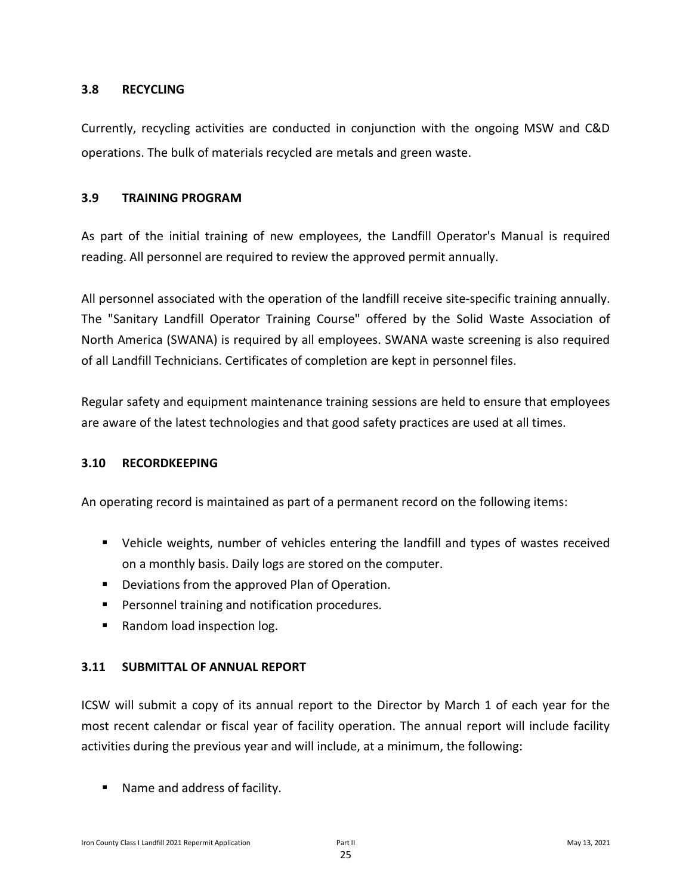#### **3.8 RECYCLING**

Currently, recycling activities are conducted in conjunction with the ongoing MSW and C&D operations. The bulk of materials recycled are metals and green waste.

#### **3.9 TRAINING PROGRAM**

As part of the initial training of new employees, the Landfill Operator's Manual is required reading. All personnel are required to review the approved permit annually.

All personnel associated with the operation of the landfill receive site-specific training annually. The "Sanitary Landfill Operator Training Course" offered by the Solid Waste Association of North America (SWANA) is required by all employees. SWANA waste screening is also required of all Landfill Technicians. Certificates of completion are kept in personnel files.

Regular safety and equipment maintenance training sessions are held to ensure that employees are aware of the latest technologies and that good safety practices are used at all times.

#### **3.10 RECORDKEEPING**

An operating record is maintained as part of a permanent record on the following items:

- Vehicle weights, number of vehicles entering the landfill and types of wastes received on a monthly basis. Daily logs are stored on the computer.
- Deviations from the approved Plan of Operation.
- Personnel training and notification procedures.
- Random load inspection log.

#### **3.11 SUBMITTAL OF ANNUAL REPORT**

ICSW will submit a copy of its annual report to the Director by March 1 of each year for the most recent calendar or fiscal year of facility operation. The annual report will include facility activities during the previous year and will include, at a minimum, the following:

■ Name and address of facility.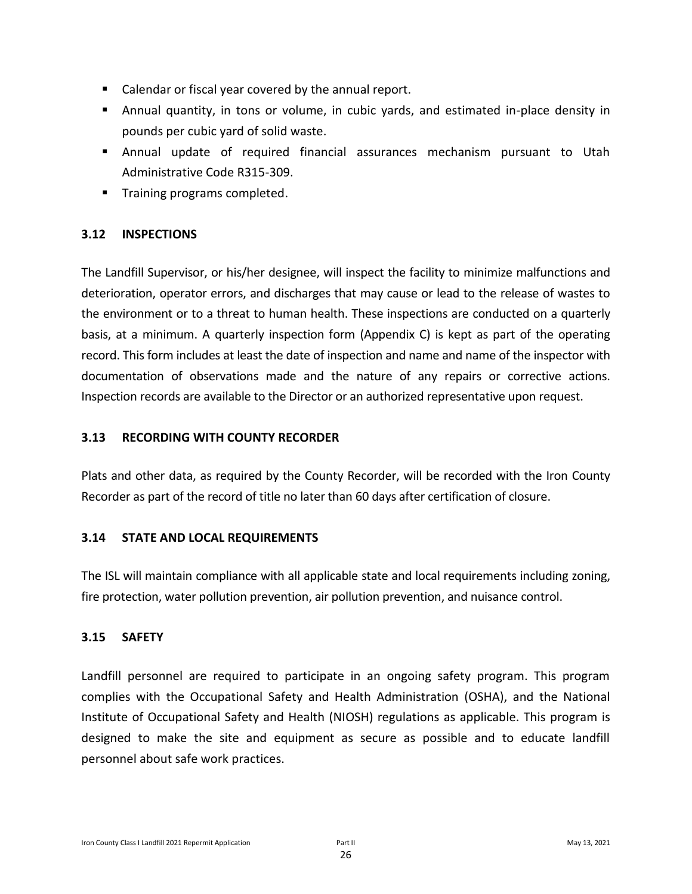- Calendar or fiscal year covered by the annual report.
- Annual quantity, in tons or volume, in cubic yards, and estimated in-place density in pounds per cubic yard of solid waste.
- Annual update of required financial assurances mechanism pursuant to Utah Administrative Code R315-309.
- **•** Training programs completed.

#### **3.12 INSPECTIONS**

The Landfill Supervisor, or his/her designee, will inspect the facility to minimize malfunctions and deterioration, operator errors, and discharges that may cause or lead to the release of wastes to the environment or to a threat to human health. These inspections are conducted on a quarterly basis, at a minimum. A quarterly inspection form (Appendix C) is kept as part of the operating record. This form includes at least the date of inspection and name and name of the inspector with documentation of observations made and the nature of any repairs or corrective actions. Inspection records are available to the Director or an authorized representative upon request.

#### **3.13 RECORDING WITH COUNTY RECORDER**

Plats and other data, as required by the County Recorder, will be recorded with the Iron County Recorder as part of the record of title no later than 60 days after certification of closure.

#### **3.14 STATE AND LOCAL REQUIREMENTS**

The ISL will maintain compliance with all applicable state and local requirements including zoning, fire protection, water pollution prevention, air pollution prevention, and nuisance control.

#### **3.15 SAFETY**

Landfill personnel are required to participate in an ongoing safety program. This program complies with the Occupational Safety and Health Administration (OSHA), and the National Institute of Occupational Safety and Health (NIOSH) regulations as applicable. This program is designed to make the site and equipment as secure as possible and to educate landfill personnel about safe work practices.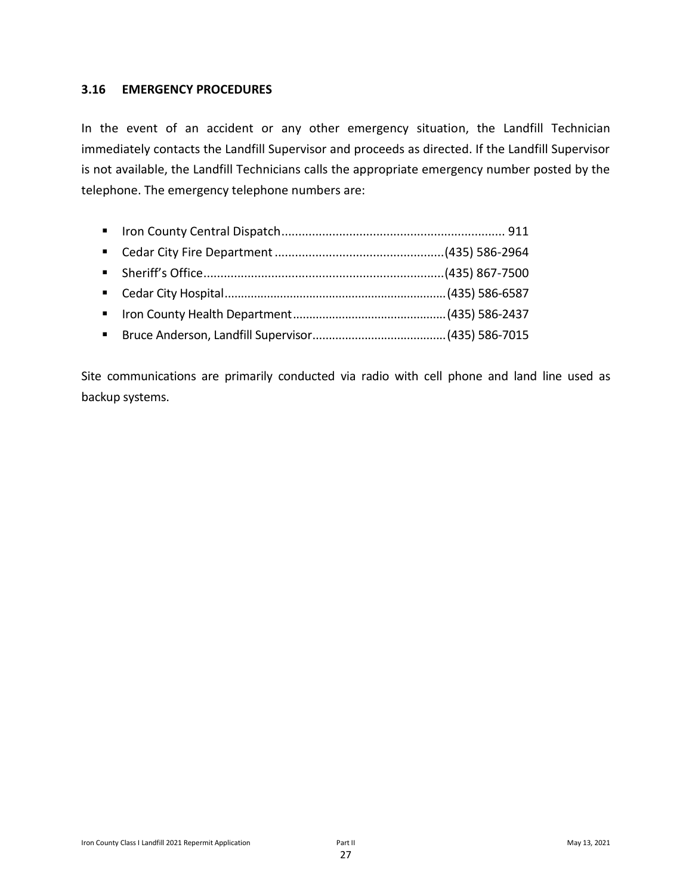#### **3.16 EMERGENCY PROCEDURES**

In the event of an accident or any other emergency situation, the Landfill Technician immediately contacts the Landfill Supervisor and proceeds as directed. If the Landfill Supervisor is not available, the Landfill Technicians calls the appropriate emergency number posted by the telephone. The emergency telephone numbers are:

- Iron County Central Dispatch.................................................................. 911
- Cedar City Fire Department..................................................(435) 586-2964
- Sheriff's Office.......................................................................(435) 867-7500
- Cedar City Hospital....................................................................(435) 586-6587
- Iron County Health Department...............................................(435) 586-2437
- Bruce Anderson, Landfill Supervisor.........................................(435) 586-7015

Site communications are primarily conducted via radio with cell phone and land line used as backup systems.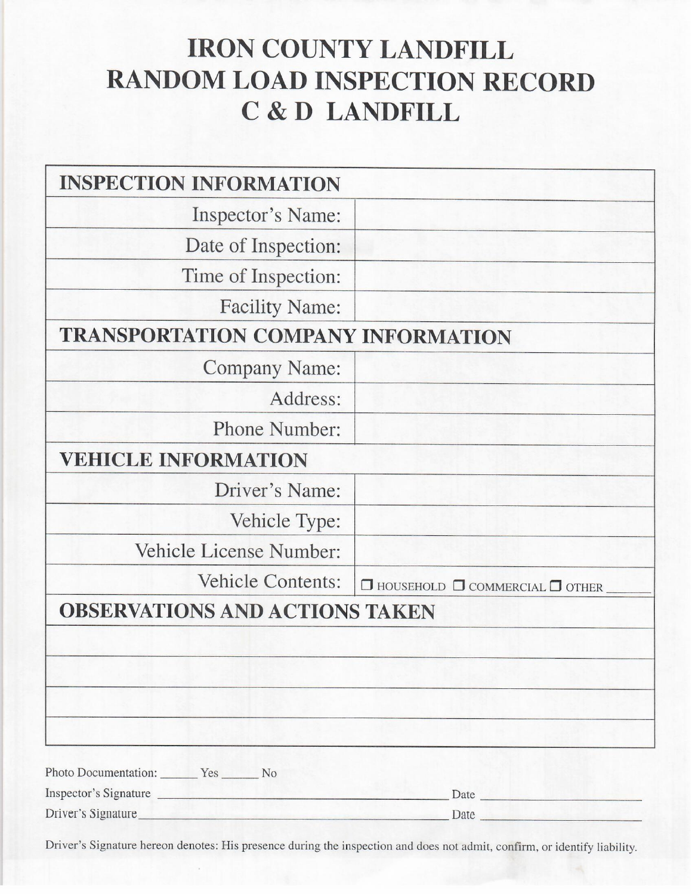## **IRON COUNTY LANDFILL RANDOM LOAD INSPECTION RECORD** C & D LANDFILL

| <b>INSPECTION INFORMATION</b>             |                                                 |
|-------------------------------------------|-------------------------------------------------|
| Inspector's Name:                         |                                                 |
| Date of Inspection:                       |                                                 |
| Time of Inspection:                       |                                                 |
| <b>Facility Name:</b>                     |                                                 |
| <b>TRANSPORTATION COMPANY INFORMATION</b> |                                                 |
| <b>Company Name:</b>                      |                                                 |
| Address:                                  |                                                 |
| Phone Number:                             |                                                 |
| <b>VEHICLE INFORMATION</b>                |                                                 |
| Driver's Name:                            |                                                 |
| Vehicle Type:                             |                                                 |
| Vehicle License Number:                   |                                                 |
| <b>Vehicle Contents:</b>                  | $\Box$ HOUSEHOLD $\Box$ COMMERCIAL $\Box$ OTHER |
| <b>OBSERVATIONS AND ACTIONS TAKEN</b>     |                                                 |
|                                           |                                                 |
|                                           |                                                 |
|                                           |                                                 |
|                                           |                                                 |
| Photo Documentation: Yes No               |                                                 |
| Inspector's Signature                     | Date                                            |

Driver's Signature

Driver's Signature hereon denotes: His presence during the inspection and does not admit, confirm, or identify liability.

Date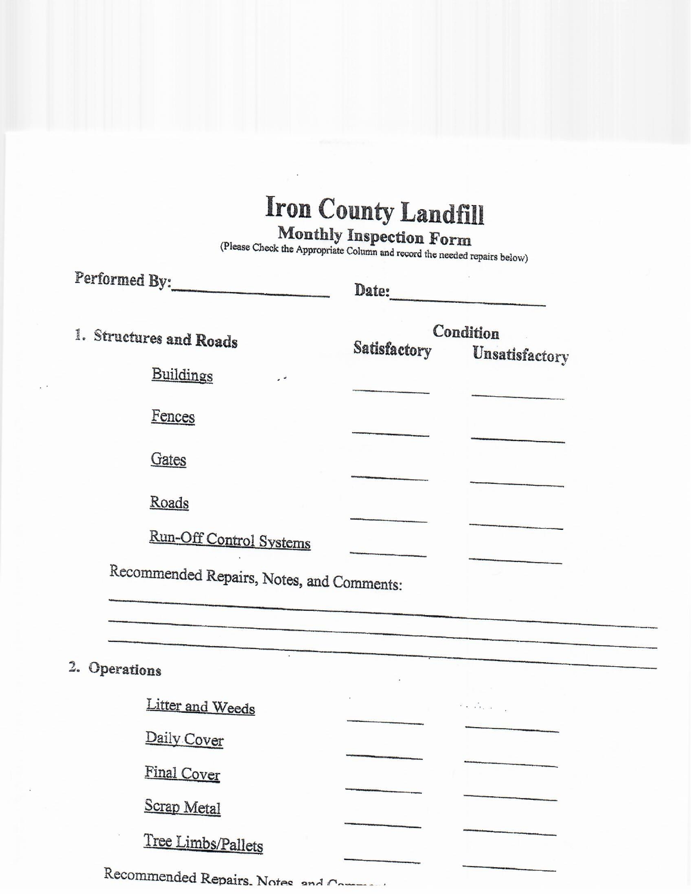# Iron County Landfill

Monthly Inspection Form<br>(Please Check the Appropriate Column and record the needed repairs below)

| Performed By:                             | Date:        |                |
|-------------------------------------------|--------------|----------------|
| 1. Structures and Roads                   | Satisfactory | Condition      |
| Buildings<br>. .                          |              | Unsatisfactory |
| Fences                                    |              |                |
| Gates                                     |              |                |
| Roads                                     |              |                |
| Run-Off Control Systems                   |              |                |
| Recommended Repairs, Notes, and Comments: |              |                |

## 2. Operations

| Litter and Weeds                        | $2\sqrt{2}$ and $2\sqrt{2}$ |  |
|-----------------------------------------|-----------------------------|--|
| Daily Cover                             |                             |  |
| Final Cover                             |                             |  |
| Scrap Metal                             |                             |  |
| Tree Limbs/Pallets                      |                             |  |
| Recommended Repairs Notes and Community |                             |  |